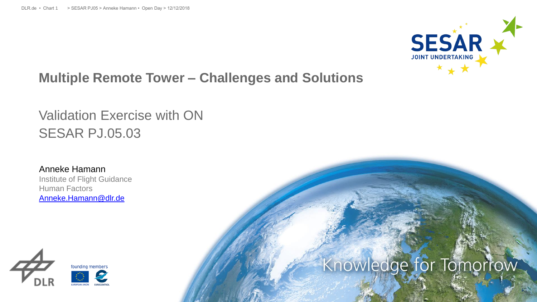

#### **Multiple Remote Tower – Challenges and Solutions**

# Validation Exercise with ON SESAR PJ.05.03

Anneke Hamann Institute of Flight Guidance Human Factors [Anneke.Hamann@dlr.de](mailto:Maria.Hagl@dlr.de)



# Knowledge for Tomorrow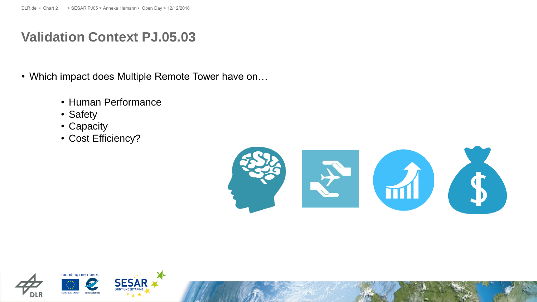#### **Validation Context PJ.05.03**

- Which impact does Multiple Remote Tower have on…
	- Human Performance
	- Safety
	- Capacity
	- Cost Efficiency?



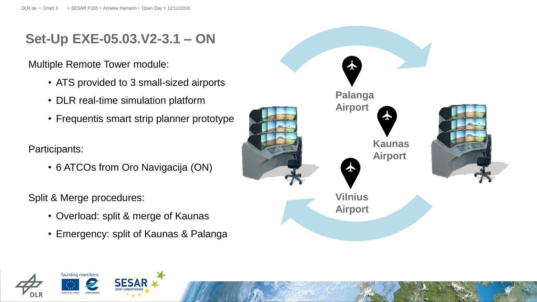#### **Set-Up EXE-05.03.V2-3.1 – ON**

#### Multiple Remote Tower module:

- ATS provided to 3 small-sized airports
- DLR real-time simulation platform
- Frequentis smart strip planner prototype

Participants:

• 6 ATCOs from Oro Navigacija (ON)

Split & Merge procedures:

- Overload: split & merge of Kaunas
- Emergency: split of Kaunas & Palanga



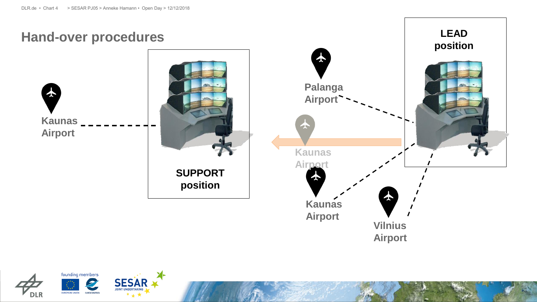

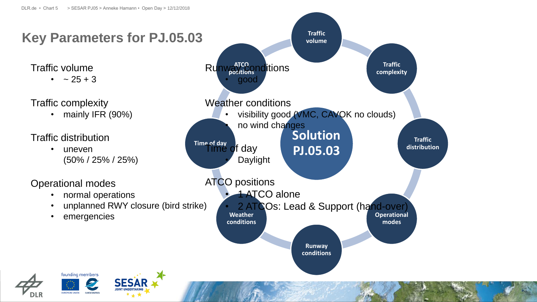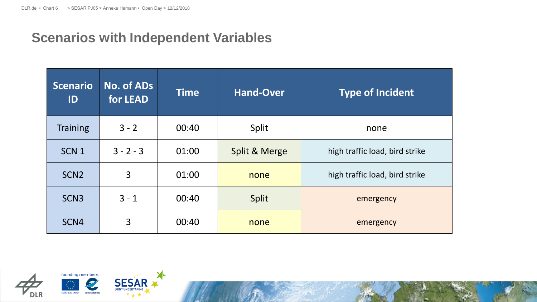# **Scenarios with Independent Variables**

| <b>Scenario</b><br>ID | <b>No. of ADs</b><br>for LEAD | <b>Time</b> | <b>Hand-Over</b> | <b>Type of Incident</b>        |
|-----------------------|-------------------------------|-------------|------------------|--------------------------------|
| <b>Training</b>       | $3 - 2$                       | 00:40       | Split            | none                           |
| SCN <sub>1</sub>      | $3 - 2 - 3$                   | 01:00       | Split & Merge    | high traffic load, bird strike |
| SCN <sub>2</sub>      | 3                             | 01:00       | none             | high traffic load, bird strike |
| SCN <sub>3</sub>      | $3 - 1$                       | 00:40       | <b>Split</b>     | emergency                      |
| SCN4                  | 3                             | 00:40       | none             | emergency                      |

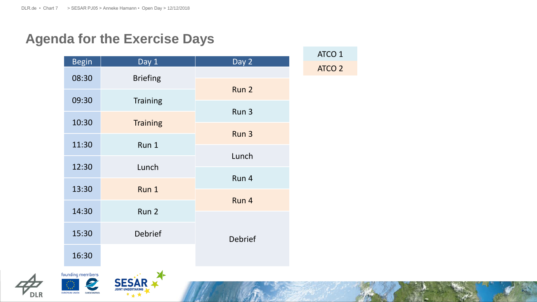# **Agenda for the Exercise Days**

| <b>Begin</b> | Day 1            | Day 2            |
|--------------|------------------|------------------|
| 08:30        | <b>Briefing</b>  |                  |
| 09:30        | <b>Training</b>  | Run <sub>2</sub> |
| 10:30        | <b>Training</b>  | Run <sub>3</sub> |
| 11:30        | Run 1            | Run 3            |
| 12:30        | Lunch            | Lunch            |
|              |                  | Run 4            |
| 13:30        | Run 1            | Run 4            |
| 14:30        | Run <sub>2</sub> |                  |
| 15:30        | <b>Debrief</b>   | <b>Debrief</b>   |
| 16:30        |                  |                  |

ATCO 1 ATCO 2



EUROPEAN UNION

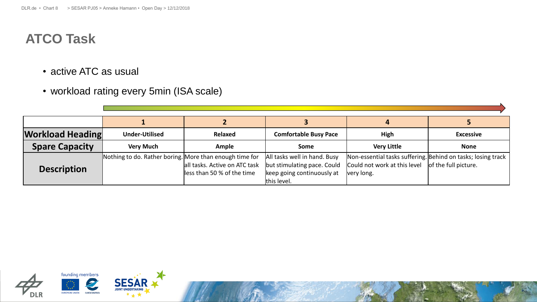# **ATCO Task**

- active ATC as usual
- workload rating every 5min (ISA scale)

| <b>Workload Heading</b> | <b>Under-Utilised</b>                                   | <b>Relaxed</b>                                               | <b>Comfortable Busy Pace</b>                                                                             | High                                                                                                       | <b>Excessive</b>     |
|-------------------------|---------------------------------------------------------|--------------------------------------------------------------|----------------------------------------------------------------------------------------------------------|------------------------------------------------------------------------------------------------------------|----------------------|
| <b>Spare Capacity</b>   | <b>Very Much</b>                                        | <b>Ample</b>                                                 | Some                                                                                                     | <b>Very Little</b>                                                                                         | <b>None</b>          |
| <b>Description</b>      | Nothing to do. Rather boring. More than enough time for | all tasks. Active on ATC task<br>lless than 50 % of the time | All tasks well in hand. Busy<br>but stimulating pace. Could<br>keep going continuously at<br>this level. | Non-essential tasks suffering. Behind on tasks; losing track<br>Could not work at this level<br>very long. | of the full picture. |

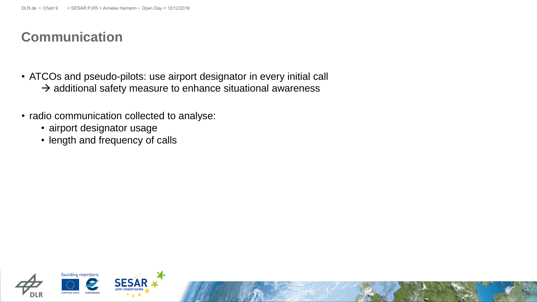#### **Communication**

- ATCOs and pseudo-pilots: use airport designator in every initial call  $\rightarrow$  additional safety measure to enhance situational awareness
- radio communication collected to analyse:
	- airport designator usage
	- length and frequency of calls

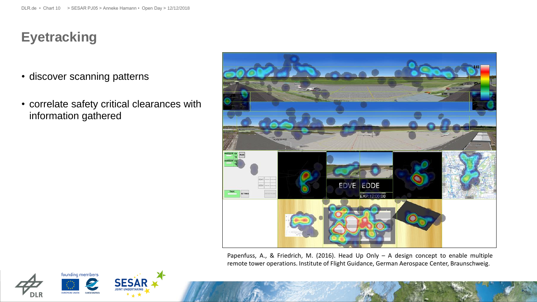# **Eyetracking**

- discover scanning patterns
- correlate safety critical clearances with information gathered



Papenfuss, A., & Friedrich, M. (2016). Head Up Only – A design concept to enable multiple remote tower operations. Institute of Flight Guidance, German Aerospace Center, Braunschweig.

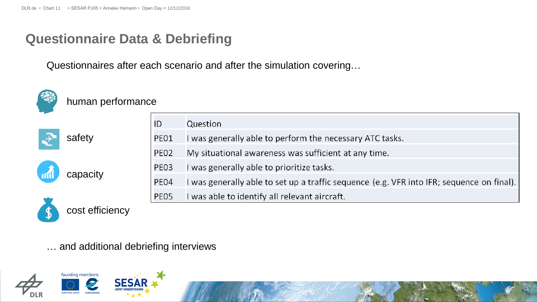# **Questionnaire Data & Debriefing**

Questionnaires after each scenario and after the simulation covering…



#### human performance

| safety |
|--------|
|        |



| ID               | Question                                                                                  |
|------------------|-------------------------------------------------------------------------------------------|
| PE01             | I was generally able to perform the necessary ATC tasks.                                  |
| PE <sub>02</sub> | My situational awareness was sufficient at any time.                                      |
| PE03             | I was generally able to prioritize tasks.                                                 |
| PE04             | I was generally able to set up a traffic sequence (e.g. VFR into IFR; sequence on final). |
| PE <sub>05</sub> | I was able to identify all relevant aircraft.                                             |



cost efficiency

capacity

… and additional debriefing interviews

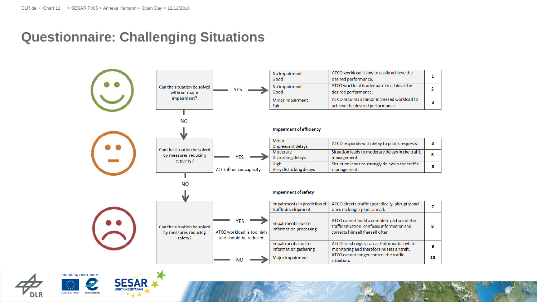#### **Questionnaire: Challenging Situations**





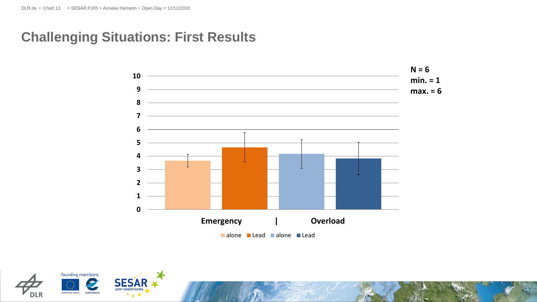#### **Challenging Situations: First Results**